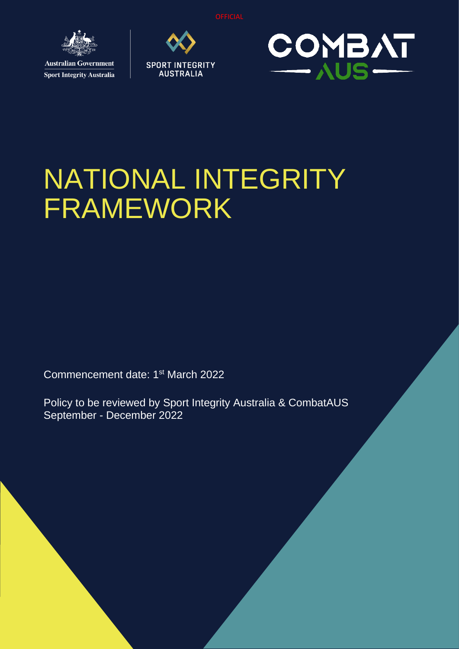

**Sport Integrity Australia** 





# NATIONAL INTEGRITY FRAMEWORK

Commencement date: 1<sup>st</sup> March 2022

Policy to be reviewed by Sport Integrity Australia & CombatAUS September - December 2022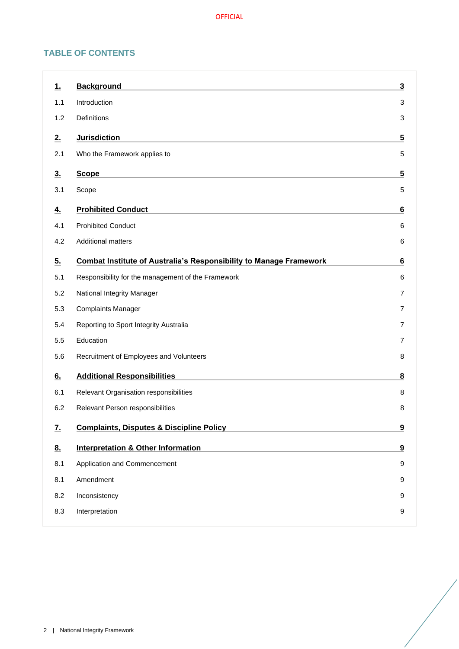# **TABLE OF CONTENTS**

| <u>1.</u>      | <b>Background</b>                                                         | 3 |
|----------------|---------------------------------------------------------------------------|---|
| 1.1            | Introduction                                                              | 3 |
| 1.2            | Definitions                                                               | 3 |
| 2.             | <b>Jurisdiction</b>                                                       | 5 |
| 2.1            | Who the Framework applies to                                              | 5 |
| 3 <sub>1</sub> | <b>Scope</b>                                                              | 5 |
| 3.1            | Scope                                                                     | 5 |
| <u>4.</u>      | <b>Prohibited Conduct</b>                                                 | 6 |
| 4.1            | <b>Prohibited Conduct</b>                                                 | 6 |
| 4.2            | <b>Additional matters</b>                                                 | 6 |
| 5.             | <b>Combat Institute of Australia's Responsibility to Manage Framework</b> | 6 |
| 5.1            | Responsibility for the management of the Framework                        | 6 |
| 5.2            | National Integrity Manager                                                | 7 |
| 5.3            | <b>Complaints Manager</b>                                                 | 7 |
| 5.4            | Reporting to Sport Integrity Australia                                    | 7 |
| 5.5            | Education                                                                 | 7 |
| 5.6            | Recruitment of Employees and Volunteers                                   | 8 |
| 6.             | <b>Additional Responsibilities</b>                                        | 8 |
| 6.1            | Relevant Organisation responsibilities                                    | 8 |
| 6.2            | Relevant Person responsibilities                                          | 8 |
|                |                                                                           |   |
| $\mathbf{Z}$   | <b>Complaints, Disputes &amp; Discipline Policy</b>                       | 9 |
| 8 <sub>1</sub> | <b>Interpretation &amp; Other Information</b>                             | 9 |
| 8.1            | Application and Commencement                                              | 9 |
| 8.1            | Amendment                                                                 | 9 |
| 8.2            | Inconsistency                                                             | 9 |
| 8.3            | Interpretation                                                            | 9 |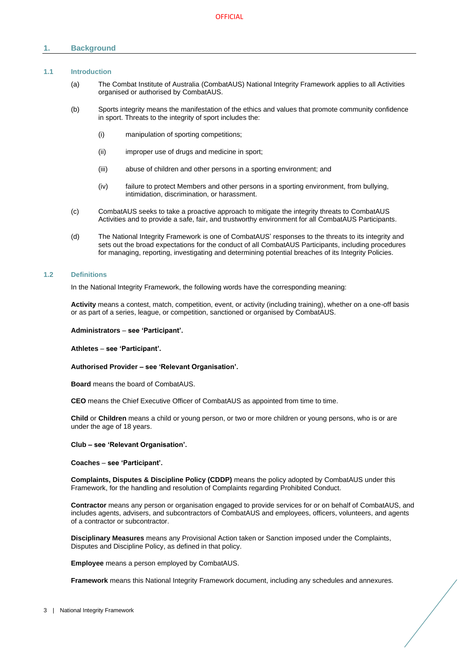# <span id="page-2-0"></span>**1. Background**

# <span id="page-2-1"></span>**1.1 Introduction**

- (a) The Combat Institute of Australia (CombatAUS) National Integrity Framework applies to all Activities organised or authorised by CombatAUS.
- (b) Sports integrity means the manifestation of the ethics and values that promote community confidence in sport. Threats to the integrity of sport includes the:
	- (i) manipulation of sporting competitions;
	- (ii) improper use of drugs and medicine in sport;
	- (iii) abuse of children and other persons in a sporting environment; and
	- (iv) failure to protect Members and other persons in a sporting environment, from bullying, intimidation, discrimination, or harassment.
- (c) CombatAUS seeks to take a proactive approach to mitigate the integrity threats to CombatAUS Activities and to provide a safe, fair, and trustworthy environment for all CombatAUS Participants.
- (d) The National Integrity Framework is one of CombatAUS' responses to the threats to its integrity and sets out the broad expectations for the conduct of all CombatAUS Participants, including procedures for managing, reporting, investigating and determining potential breaches of its Integrity Policies.

#### <span id="page-2-2"></span>**1.2 Definitions**

In the National Integrity Framework, the following words have the corresponding meaning:

**Activity** means a contest, match, competition, event, or activity (including training), whether on a one-off basis or as part of a series, league, or competition, sanctioned or organised by CombatAUS.

**Administrators** – **see 'Participant'.**

**Athletes** – **see 'Participant'.**

**Authorised Provider – see 'Relevant Organisation'.**

**Board** means the board of CombatAUS.

**CEO** means the Chief Executive Officer of CombatAUS as appointed from time to time.

**Child** or **Children** means a child or young person, or two or more children or young persons, who is or are under the age of 18 years.

#### **Club – see 'Relevant Organisation'.**

**Coaches** – **see 'Participant'.**

**Complaints, Disputes & Discipline Policy (CDDP)** means the policy adopted by CombatAUS under this Framework, for the handling and resolution of Complaints regarding Prohibited Conduct.

**Contractor** means any person or organisation engaged to provide services for or on behalf of CombatAUS, and includes agents, advisers, and subcontractors of CombatAUS and employees, officers, volunteers, and agents of a contractor or subcontractor.

**Disciplinary Measures** means any Provisional Action taken or Sanction imposed under the Complaints, Disputes and Discipline Policy, as defined in that policy.

**Employee** means a person employed by CombatAUS.

**Framework** means this National Integrity Framework document, including any schedules and annexures.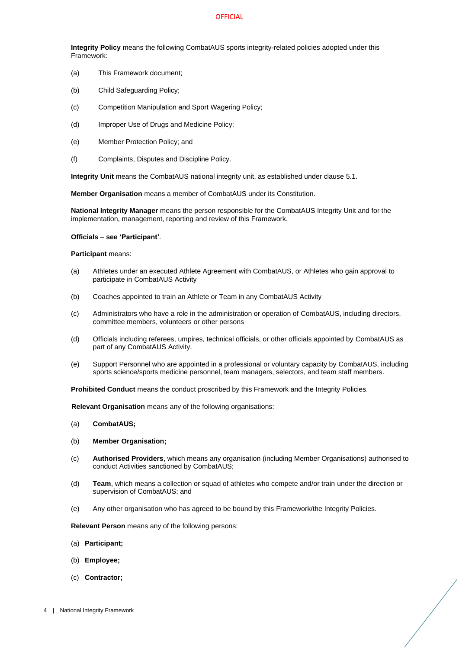**Integrity Policy** means the following CombatAUS sports integrity-related policies adopted under this Framework:

- (a) This Framework document;
- (b) Child Safeguarding Policy;
- (c) Competition Manipulation and Sport Wagering Policy;
- (d) Improper Use of Drugs and Medicine Policy;
- (e) Member Protection Policy; and
- (f) Complaints, Disputes and Discipline Policy.

**Integrity Unit** means the CombatAUS national integrity unit, as established under clause [5.1.](#page-5-4)

**Member Organisation** means a member of CombatAUS under its Constitution.

**National Integrity Manager** means the person responsible for the CombatAUS Integrity Unit and for the implementation, management, reporting and review of this Framework.

#### **Officials** – **see 'Participant'**.

#### **Participant** means:

- (a) Athletes under an executed Athlete Agreement with CombatAUS, or Athletes who gain approval to participate in CombatAUS Activity
- (b) Coaches appointed to train an Athlete or Team in any CombatAUS Activity
- (c) Administrators who have a role in the administration or operation of CombatAUS, including directors, committee members, volunteers or other persons
- (d) Officials including referees, umpires, technical officials, or other officials appointed by CombatAUS as part of any CombatAUS Activity.
- (e) Support Personnel who are appointed in a professional or voluntary capacity by CombatAUS, including sports science/sports medicine personnel, team managers, selectors, and team staff members.

**Prohibited Conduct** means the conduct proscribed by this Framework and the Integrity Policies.

**Relevant Organisation** means any of the following organisations:

- (a) **CombatAUS;**
- (b) **Member Organisation;**
- (c) **Authorised Providers**, which means any organisation (including Member Organisations) authorised to conduct Activities sanctioned by CombatAUS;
- (d) **Team**, which means a collection or squad of athletes who compete and/or train under the direction or supervision of CombatAUS; and
- (e) Any other organisation who has agreed to be bound by this Framework/the Integrity Policies.

**Relevant Person** means any of the following persons:

- (a) **Participant;**
- (b) **Employee;**
- (c) **Contractor;**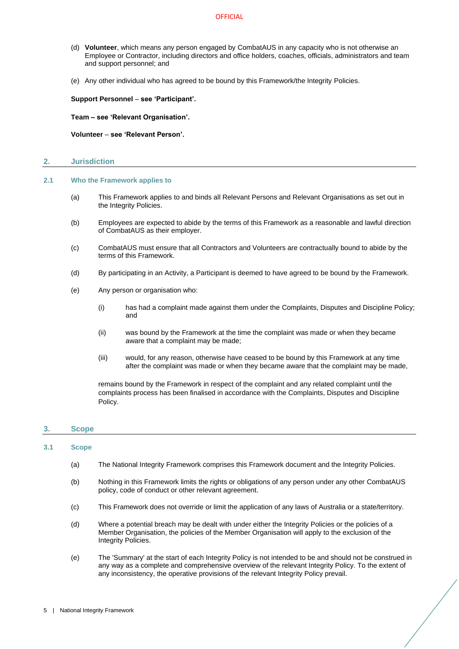- (d) **Volunteer**, which means any person engaged by CombatAUS in any capacity who is not otherwise an Employee or Contractor, including directors and office holders, coaches, officials, administrators and team and support personnel; and
- (e) Any other individual who has agreed to be bound by this Framework/the Integrity Policies.

**Support Personnel** – **see 'Participant'.**

**Team – see 'Relevant Organisation'.** 

**Volunteer** – **see 'Relevant Person'.** 

# <span id="page-4-0"></span>**2. Jurisdiction**

- <span id="page-4-1"></span>**2.1 Who the Framework applies to**
	- (a) This Framework applies to and binds all Relevant Persons and Relevant Organisations as set out in the Integrity Policies.
	- (b) Employees are expected to abide by the terms of this Framework as a reasonable and lawful direction of CombatAUS as their employer.
	- (c) CombatAUS must ensure that all Contractors and Volunteers are contractually bound to abide by the terms of this Framework.
	- (d) By participating in an Activity, a Participant is deemed to have agreed to be bound by the Framework.
	- (e) Any person or organisation who:
		- (i) has had a complaint made against them under the Complaints, Disputes and Discipline Policy; and
		- (ii) was bound by the Framework at the time the complaint was made or when they became aware that a complaint may be made;
		- (iii) would, for any reason, otherwise have ceased to be bound by this Framework at any time after the complaint was made or when they became aware that the complaint may be made,

remains bound by the Framework in respect of the complaint and any related complaint until the complaints process has been finalised in accordance with the Complaints, Disputes and Discipline Policy.

# <span id="page-4-2"></span>**3. Scope**

#### <span id="page-4-3"></span>**3.1 Scope**

- (a) The National Integrity Framework comprises this Framework document and the Integrity Policies.
- (b) Nothing in this Framework limits the rights or obligations of any person under any other CombatAUS policy, code of conduct or other relevant agreement.
- (c) This Framework does not override or limit the application of any laws of Australia or a state/territory.
- (d) Where a potential breach may be dealt with under either the Integrity Policies or the policies of a Member Organisation, the policies of the Member Organisation will apply to the exclusion of the Integrity Policies.
- (e) The 'Summary' at the start of each Integrity Policy is not intended to be and should not be construed in any way as a complete and comprehensive overview of the relevant Integrity Policy. To the extent of any inconsistency, the operative provisions of the relevant Integrity Policy prevail.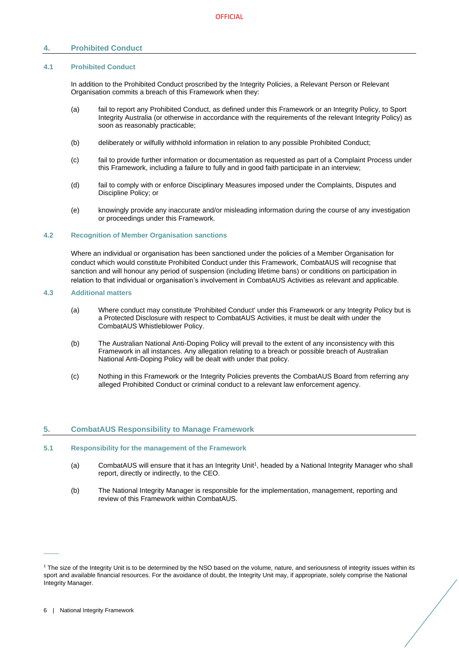# <span id="page-5-0"></span>**4. Prohibited Conduct**

#### <span id="page-5-1"></span>**4.1 Prohibited Conduct**

In addition to the Prohibited Conduct proscribed by the Integrity Policies, a Relevant Person or Relevant Organisation commits a breach of this Framework when they:

- (a) fail to report any Prohibited Conduct, as defined under this Framework or an Integrity Policy, to Sport Integrity Australia (or otherwise in accordance with the requirements of the relevant Integrity Policy) as soon as reasonably practicable;
- (b) deliberately or wilfully withhold information in relation to any possible Prohibited Conduct;
- (c) fail to provide further information or documentation as requested as part of a Complaint Process under this Framework, including a failure to fully and in good faith participate in an interview;
- (d) fail to comply with or enforce Disciplinary Measures imposed under the Complaints, Disputes and Discipline Policy; or
- (e) knowingly provide any inaccurate and/or misleading information during the course of any investigation or proceedings under this Framework.

#### <span id="page-5-2"></span>**4.2 Recognition of Member Organisation sanctions**

Where an individual or organisation has been sanctioned under the policies of a Member Organisation for conduct which would constitute Prohibited Conduct under this Framework, CombatAUS will recognise that sanction and will honour any period of suspension (including lifetime bans) or conditions on participation in relation to that individual or organisation's involvement in CombatAUS Activities as relevant and applicable.

# **4.3 Additional matters**

- (a) Where conduct may constitute 'Prohibited Conduct' under this Framework or any Integrity Policy but is a Protected Disclosure with respect to CombatAUS Activities, it must be dealt with under the CombatAUS Whistleblower Policy.
- (b) The Australian National Anti-Doping Policy will prevail to the extent of any inconsistency with this Framework in all instances. Any allegation relating to a breach or possible breach of Australian National Anti-Doping Policy will be dealt with under that policy.
- (c) Nothing in this Framework or the Integrity Policies prevents the CombatAUS Board from referring any alleged Prohibited Conduct or criminal conduct to a relevant law enforcement agency.

# <span id="page-5-3"></span>**5. CombatAUS Responsibility to Manage Framework**

#### <span id="page-5-4"></span>**5.1 Responsibility for the management of the Framework**

- (a) CombatAUS will ensure that it has an Integrity Unit<sup>1</sup>, headed by a National Integrity Manager who shall report, directly or indirectly, to the CEO.
- (b) The National Integrity Manager is responsible for the implementation, management, reporting and review of this Framework within CombatAUS.

 $\overline{\phantom{a}}$ 

<sup>&</sup>lt;sup>1</sup> The size of the Integrity Unit is to be determined by the NSO based on the volume, nature, and seriousness of integrity issues within its sport and available financial resources. For the avoidance of doubt, the Integrity Unit may, if appropriate, solely comprise the National Integrity Manager.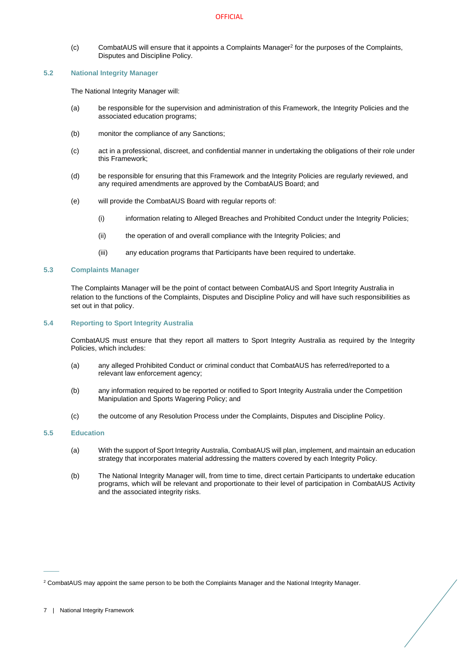(c) CombatAUS will ensure that it appoints a Complaints Manager<sup>2</sup> for the purposes of the Complaints, Disputes and Discipline Policy.

# <span id="page-6-0"></span>**5.2 National Integrity Manager**

The National Integrity Manager will:

- (a) be responsible for the supervision and administration of this Framework, the Integrity Policies and the associated education programs;
- (b) monitor the compliance of any Sanctions;
- (c) act in a professional, discreet, and confidential manner in undertaking the obligations of their role under this Framework;
- (d) be responsible for ensuring that this Framework and the Integrity Policies are regularly reviewed, and any required amendments are approved by the CombatAUS Board; and
- (e) will provide the CombatAUS Board with regular reports of:
	- (i) information relating to Alleged Breaches and Prohibited Conduct under the Integrity Policies;
	- (ii) the operation of and overall compliance with the Integrity Policies; and
	- (iii) any education programs that Participants have been required to undertake.

# <span id="page-6-1"></span>**5.3 Complaints Manager**

The Complaints Manager will be the point of contact between CombatAUS and Sport Integrity Australia in relation to the functions of the Complaints, Disputes and Discipline Policy and will have such responsibilities as set out in that policy.

# <span id="page-6-2"></span>**5.4 Reporting to Sport Integrity Australia**

CombatAUS must ensure that they report all matters to Sport Integrity Australia as required by the Integrity Policies, which includes:

- (a) any alleged Prohibited Conduct or criminal conduct that CombatAUS has referred/reported to a relevant law enforcement agency;
- (b) any information required to be reported or notified to Sport Integrity Australia under the Competition Manipulation and Sports Wagering Policy; and
- (c) the outcome of any Resolution Process under the Complaints, Disputes and Discipline Policy.

# <span id="page-6-3"></span>**5.5 Education**

- (a) With the support of Sport Integrity Australia, CombatAUS will plan, implement, and maintain an education strategy that incorporates material addressing the matters covered by each Integrity Policy.
- (b) The National Integrity Manager will, from time to time, direct certain Participants to undertake education programs, which will be relevant and proportionate to their level of participation in CombatAUS Activity and the associated integrity risks.

 $\frac{1}{2}$ 

<sup>2</sup> CombatAUS may appoint the same person to be both the Complaints Manager and the National Integrity Manager.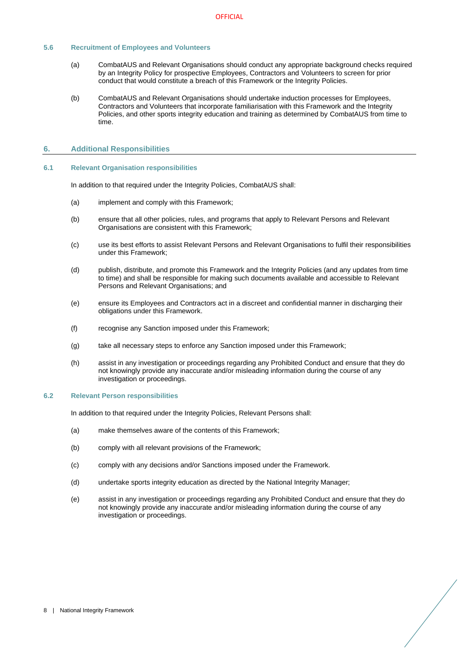# <span id="page-7-0"></span>**5.6 Recruitment of Employees and Volunteers**

- (a) CombatAUS and Relevant Organisations should conduct any appropriate background checks required by an Integrity Policy for prospective Employees, Contractors and Volunteers to screen for prior conduct that would constitute a breach of this Framework or the Integrity Policies.
- (b) CombatAUS and Relevant Organisations should undertake induction processes for Employees, Contractors and Volunteers that incorporate familiarisation with this Framework and the Integrity Policies, and other sports integrity education and training as determined by CombatAUS from time to time.

## <span id="page-7-1"></span>**6. Additional Responsibilities**

# <span id="page-7-2"></span>**6.1 Relevant Organisation responsibilities**

In addition to that required under the Integrity Policies, CombatAUS shall:

- (a) implement and comply with this Framework;
- (b) ensure that all other policies, rules, and programs that apply to Relevant Persons and Relevant Organisations are consistent with this Framework;
- (c) use its best efforts to assist Relevant Persons and Relevant Organisations to fulfil their responsibilities under this Framework;
- (d) publish, distribute, and promote this Framework and the Integrity Policies (and any updates from time to time) and shall be responsible for making such documents available and accessible to Relevant Persons and Relevant Organisations; and
- (e) ensure its Employees and Contractors act in a discreet and confidential manner in discharging their obligations under this Framework.
- (f) recognise any Sanction imposed under this Framework;
- (g) take all necessary steps to enforce any Sanction imposed under this Framework;
- (h) assist in any investigation or proceedings regarding any Prohibited Conduct and ensure that they do not knowingly provide any inaccurate and/or misleading information during the course of any investigation or proceedings.

#### <span id="page-7-3"></span>**6.2 Relevant Person responsibilities**

In addition to that required under the Integrity Policies, Relevant Persons shall:

- (a) make themselves aware of the contents of this Framework;
- (b) comply with all relevant provisions of the Framework;
- (c) comply with any decisions and/or Sanctions imposed under the Framework.
- (d) undertake sports integrity education as directed by the National Integrity Manager;
- (e) assist in any investigation or proceedings regarding any Prohibited Conduct and ensure that they do not knowingly provide any inaccurate and/or misleading information during the course of any investigation or proceedings.